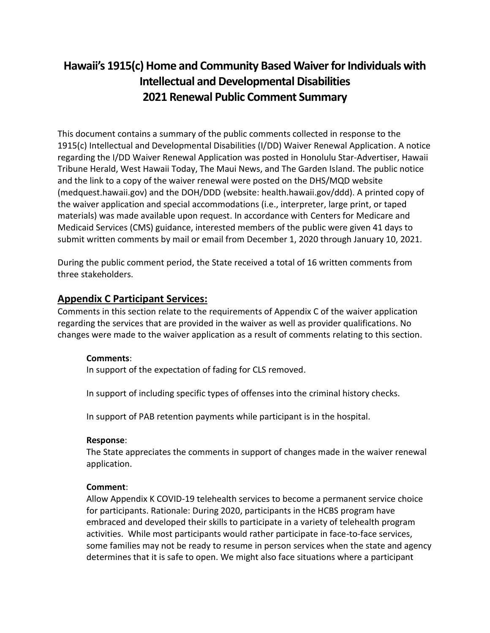# **Hawaii's 1915(c) Home and Community Based Waiver for Individuals with Intellectual and Developmental Disabilities 2021 Renewal Public Comment Summary**

This document contains a summary of the public comments collected in response to the 1915(c) Intellectual and Developmental Disabilities (I/DD) Waiver Renewal Application. A notice regarding the I/DD Waiver Renewal Application was posted in Honolulu Star-Advertiser, Hawaii Tribune Herald, West Hawaii Today, The Maui News, and The Garden Island. The public notice and the link to a copy of the waiver renewal were posted on the DHS/MQD website (medquest.hawaii.gov) and the DOH/DDD (website: health.hawaii.gov/ddd). A printed copy of the waiver application and special accommodations (i.e., interpreter, large print, or taped materials) was made available upon request. In accordance with Centers for Medicare and Medicaid Services (CMS) guidance, interested members of the public were given 41 days to submit written comments by mail or email from December 1, 2020 through January 10, 2021.

During the public comment period, the State received a total of 16 written comments from three stakeholders.

# **Appendix C Participant Services:**

Comments in this section relate to the requirements of Appendix C of the waiver application regarding the services that are provided in the waiver as well as provider qualifications. No changes were made to the waiver application as a result of comments relating to this section.

# **Comments**:

In support of the expectation of fading for CLS removed.

In support of including specific types of offenses into the criminal history checks.

In support of PAB retention payments while participant is in the hospital.

#### **Response**:

The State appreciates the comments in support of changes made in the waiver renewal application.

#### **Comment**:

Allow Appendix K COVID-19 telehealth services to become a permanent service choice for participants. Rationale: During 2020, participants in the HCBS program have embraced and developed their skills to participate in a variety of telehealth program activities. While most participants would rather participate in face-to-face services, some families may not be ready to resume in person services when the state and agency determines that it is safe to open. We might also face situations where a participant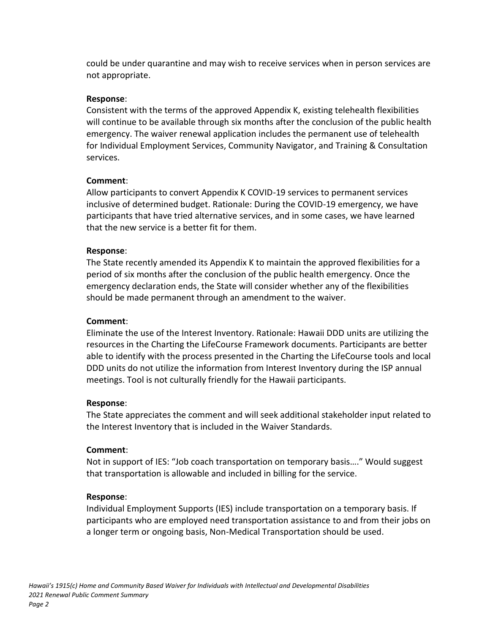could be under quarantine and may wish to receive services when in person services are not appropriate.

### **Response**:

Consistent with the terms of the approved Appendix K, existing telehealth flexibilities will continue to be available through six months after the conclusion of the public health emergency. The waiver renewal application includes the permanent use of telehealth for Individual Employment Services, Community Navigator, and Training & Consultation services.

#### **Comment**:

Allow participants to convert Appendix K COVID-19 services to permanent services inclusive of determined budget. Rationale: During the COVID-19 emergency, we have participants that have tried alternative services, and in some cases, we have learned that the new service is a better fit for them.

### **Response**:

The State recently amended its Appendix K to maintain the approved flexibilities for a period of six months after the conclusion of the public health emergency. Once the emergency declaration ends, the State will consider whether any of the flexibilities should be made permanent through an amendment to the waiver.

## **Comment**:

Eliminate the use of the Interest Inventory. Rationale: Hawaii DDD units are utilizing the resources in the Charting the LifeCourse Framework documents. Participants are better able to identify with the process presented in the Charting the LifeCourse tools and local DDD units do not utilize the information from Interest Inventory during the ISP annual meetings. Tool is not culturally friendly for the Hawaii participants.

#### **Response**:

The State appreciates the comment and will seek additional stakeholder input related to the Interest Inventory that is included in the Waiver Standards.

#### **Comment**:

Not in support of IES: "Job coach transportation on temporary basis…." Would suggest that transportation is allowable and included in billing for the service.

#### **Response**:

Individual Employment Supports (IES) include transportation on a temporary basis. If participants who are employed need transportation assistance to and from their jobs on a longer term or ongoing basis, Non-Medical Transportation should be used.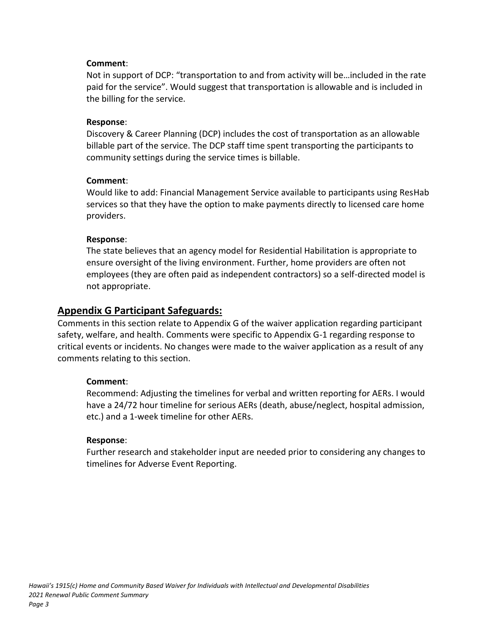#### **Comment**:

Not in support of DCP: "transportation to and from activity will be…included in the rate paid for the service". Would suggest that transportation is allowable and is included in the billing for the service.

#### **Response**:

Discovery & Career Planning (DCP) includes the cost of transportation as an allowable billable part of the service. The DCP staff time spent transporting the participants to community settings during the service times is billable.

#### **Comment**:

Would like to add: Financial Management Service available to participants using ResHab services so that they have the option to make payments directly to licensed care home providers.

#### **Response**:

The state believes that an agency model for Residential Habilitation is appropriate to ensure oversight of the living environment. Further, home providers are often not employees (they are often paid as independent contractors) so a self-directed model is not appropriate.

# **Appendix G Participant Safeguards:**

Comments in this section relate to Appendix G of the waiver application regarding participant safety, welfare, and health. Comments were specific to Appendix G-1 regarding response to critical events or incidents. No changes were made to the waiver application as a result of any comments relating to this section.

#### **Comment**:

Recommend: Adjusting the timelines for verbal and written reporting for AERs. I would have a 24/72 hour timeline for serious AERs (death, abuse/neglect, hospital admission, etc.) and a 1-week timeline for other AERs.

#### **Response**:

Further research and stakeholder input are needed prior to considering any changes to timelines for Adverse Event Reporting.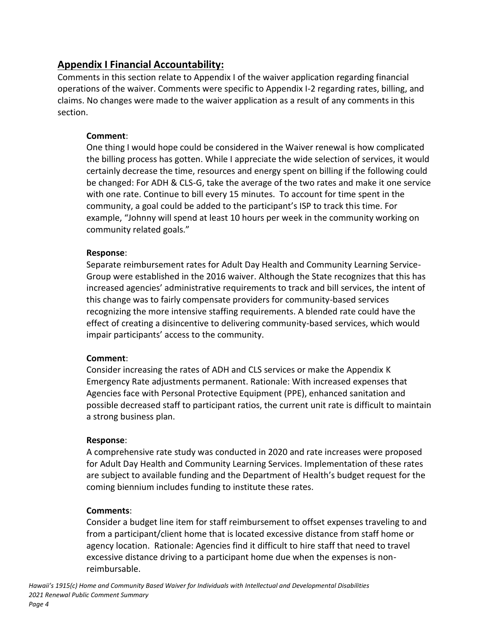# **Appendix I Financial Accountability:**

Comments in this section relate to Appendix I of the waiver application regarding financial operations of the waiver. Comments were specific to Appendix I-2 regarding rates, billing, and claims. No changes were made to the waiver application as a result of any comments in this section.

# **Comment**:

One thing I would hope could be considered in the Waiver renewal is how complicated the billing process has gotten. While I appreciate the wide selection of services, it would certainly decrease the time, resources and energy spent on billing if the following could be changed: For ADH & CLS-G, take the average of the two rates and make it one service with one rate. Continue to bill every 15 minutes. To account for time spent in the community, a goal could be added to the participant's ISP to track this time. For example, "Johnny will spend at least 10 hours per week in the community working on community related goals."

# **Response**:

Separate reimbursement rates for Adult Day Health and Community Learning Service-Group were established in the 2016 waiver. Although the State recognizes that this has increased agencies' administrative requirements to track and bill services, the intent of this change was to fairly compensate providers for community-based services recognizing the more intensive staffing requirements. A blended rate could have the effect of creating a disincentive to delivering community-based services, which would impair participants' access to the community.

# **Comment**:

Consider increasing the rates of ADH and CLS services or make the Appendix K Emergency Rate adjustments permanent. Rationale: With increased expenses that Agencies face with Personal Protective Equipment (PPE), enhanced sanitation and possible decreased staff to participant ratios, the current unit rate is difficult to maintain a strong business plan.

#### **Response**:

A comprehensive rate study was conducted in 2020 and rate increases were proposed for Adult Day Health and Community Learning Services. Implementation of these rates are subject to available funding and the Department of Health's budget request for the coming biennium includes funding to institute these rates.

# **Comments**:

Consider a budget line item for staff reimbursement to offset expenses traveling to and from a participant/client home that is located excessive distance from staff home or agency location. Rationale: Agencies find it difficult to hire staff that need to travel excessive distance driving to a participant home due when the expenses is nonreimbursable.